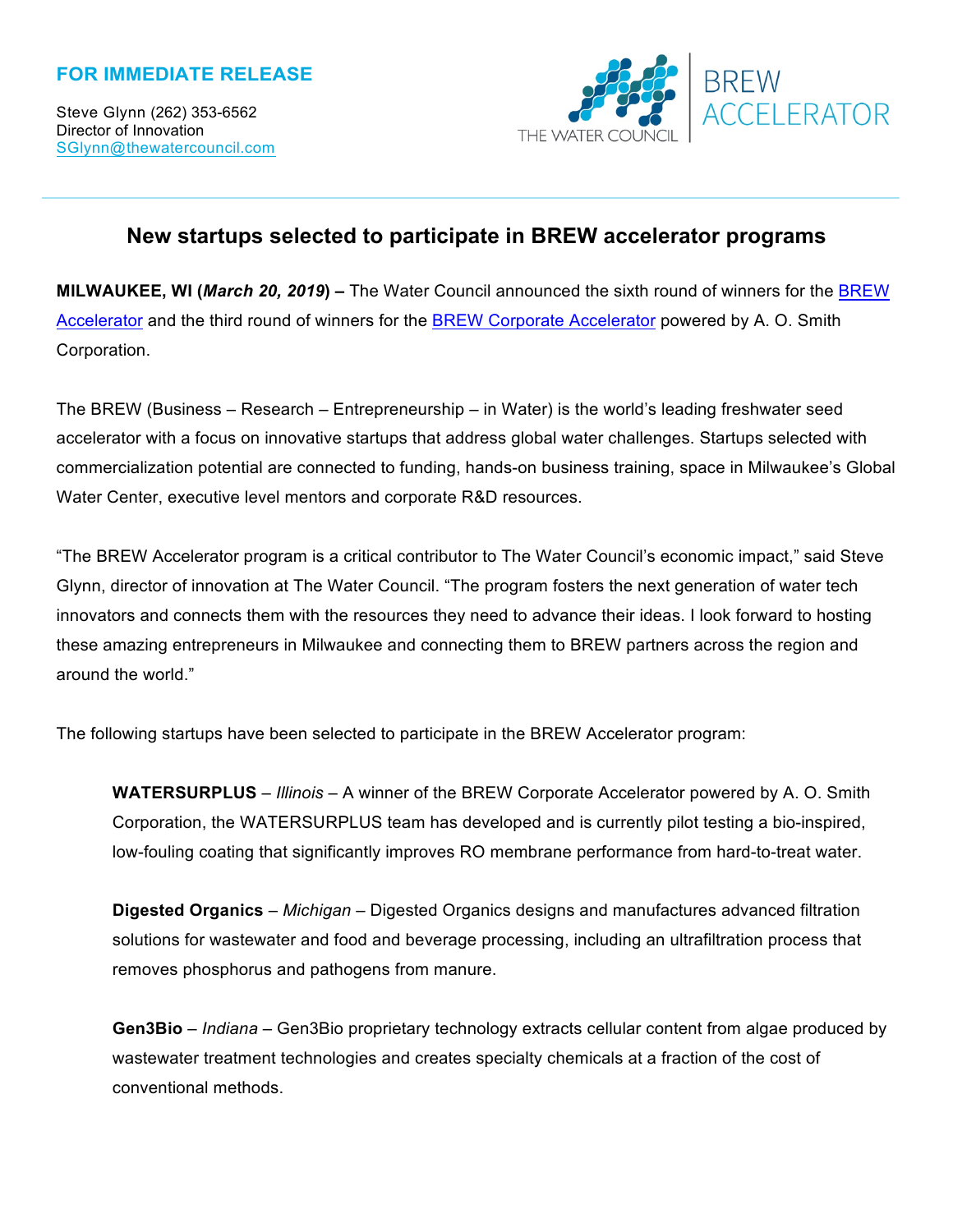## **FOR IMMEDIATE RELEASE**

Steve Glynn (262) 353-6562 Director of Innovation SGlynn@thewatercouncil.com



# **New startups selected to participate in BREW accelerator programs**

**MILWAUKEE, WI (***March 20, 2019***) –** The Water Council announced the sixth round of winners for the BREW Accelerator and the third round of winners for the BREW Corporate Accelerator powered by A. O. Smith Corporation.

The BREW (Business – Research – Entrepreneurship – in Water) is the world's leading freshwater seed accelerator with a focus on innovative startups that address global water challenges. Startups selected with commercialization potential are connected to funding, hands-on business training, space in Milwaukee's Global Water Center, executive level mentors and corporate R&D resources.

"The BREW Accelerator program is a critical contributor to The Water Council's economic impact," said Steve Glynn, director of innovation at The Water Council. "The program fosters the next generation of water tech innovators and connects them with the resources they need to advance their ideas. I look forward to hosting these amazing entrepreneurs in Milwaukee and connecting them to BREW partners across the region and around the world."

The following startups have been selected to participate in the BREW Accelerator program:

**WATERSURPLUS** – *Illinois* – A winner of the BREW Corporate Accelerator powered by A. O. Smith Corporation, the WATERSURPLUS team has developed and is currently pilot testing a bio-inspired, low-fouling coating that significantly improves RO membrane performance from hard-to-treat water.

**Digested Organics** – *Michigan* – Digested Organics designs and manufactures advanced filtration solutions for wastewater and food and beverage processing, including an ultrafiltration process that removes phosphorus and pathogens from manure.

**Gen3Bio** – *Indiana* – Gen3Bio proprietary technology extracts cellular content from algae produced by wastewater treatment technologies and creates specialty chemicals at a fraction of the cost of conventional methods.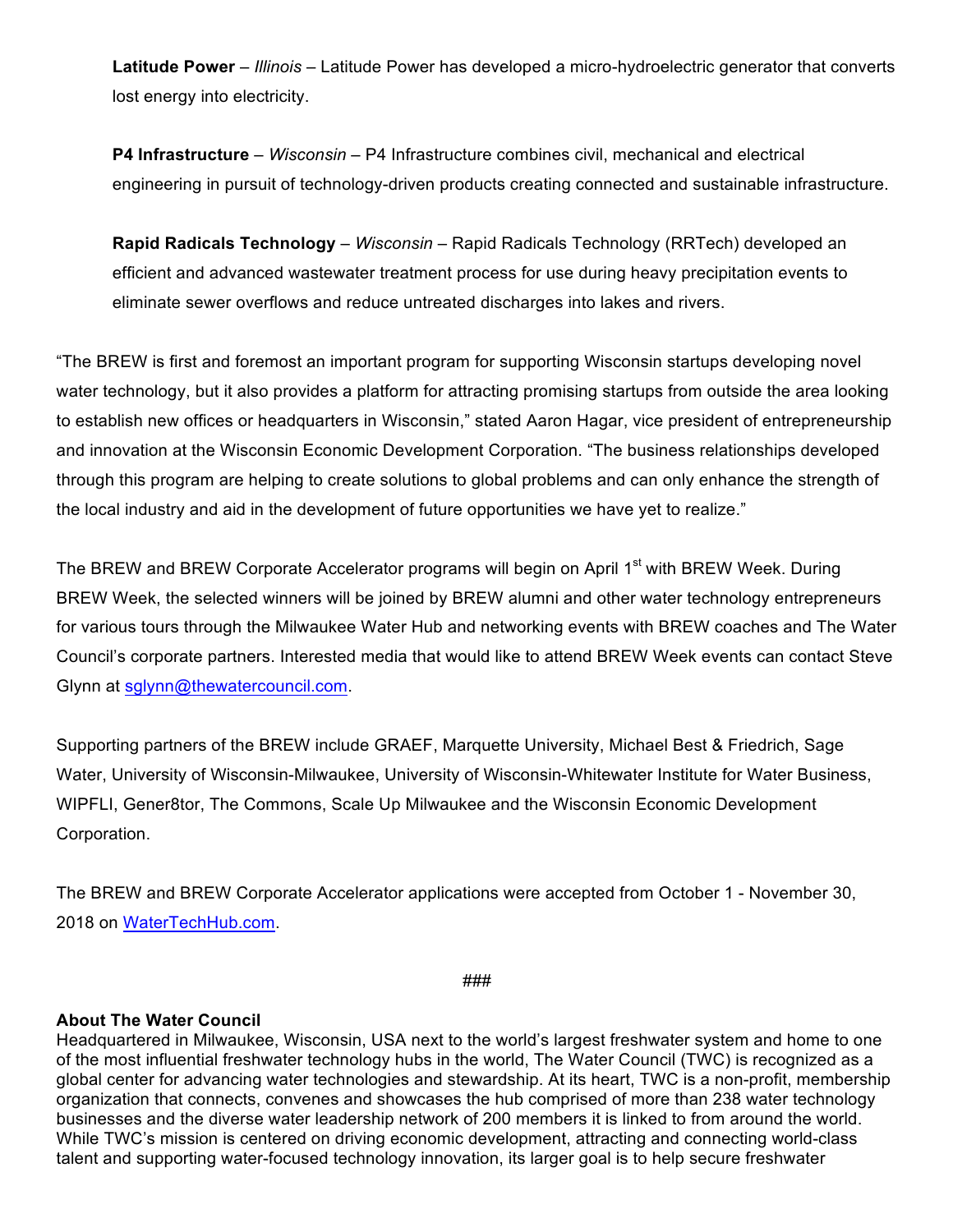**Latitude Power** – *Illinois* – Latitude Power has developed a micro-hydroelectric generator that converts lost energy into electricity.

**P4 Infrastructure** – *Wisconsin* – P4 Infrastructure combines civil, mechanical and electrical engineering in pursuit of technology-driven products creating connected and sustainable infrastructure.

**Rapid Radicals Technology** – *Wisconsin* – Rapid Radicals Technology (RRTech) developed an efficient and advanced wastewater treatment process for use during heavy precipitation events to eliminate sewer overflows and reduce untreated discharges into lakes and rivers.

"The BREW is first and foremost an important program for supporting Wisconsin startups developing novel water technology, but it also provides a platform for attracting promising startups from outside the area looking to establish new offices or headquarters in Wisconsin," stated Aaron Hagar, vice president of entrepreneurship and innovation at the Wisconsin Economic Development Corporation. "The business relationships developed through this program are helping to create solutions to global problems and can only enhance the strength of the local industry and aid in the development of future opportunities we have yet to realize."

The BREW and BREW Corporate Accelerator programs will begin on April 1<sup>st</sup> with BREW Week. During BREW Week, the selected winners will be joined by BREW alumni and other water technology entrepreneurs for various tours through the Milwaukee Water Hub and networking events with BREW coaches and The Water Council's corporate partners. Interested media that would like to attend BREW Week events can contact Steve Glynn at sglynn@thewatercouncil.com.

Supporting partners of the BREW include GRAEF, Marquette University, Michael Best & Friedrich, Sage Water, University of Wisconsin-Milwaukee, University of Wisconsin-Whitewater Institute for Water Business, WIPFLI, Gener8tor, The Commons, Scale Up Milwaukee and the Wisconsin Economic Development Corporation.

The BREW and BREW Corporate Accelerator applications were accepted from October 1 - November 30, 2018 on WaterTechHub.com.

*###*

#### **About The Water Council**

Headquartered in Milwaukee, Wisconsin, USA next to the world's largest freshwater system and home to one of the most influential freshwater technology hubs in the world, The Water Council (TWC) is recognized as a global center for advancing water technologies and stewardship. At its heart, TWC is a non-profit, membership organization that connects, convenes and showcases the hub comprised of more than 238 water technology businesses and the diverse water leadership network of 200 members it is linked to from around the world. While TWC's mission is centered on driving economic development, attracting and connecting world-class talent and supporting water-focused technology innovation, its larger goal is to help secure freshwater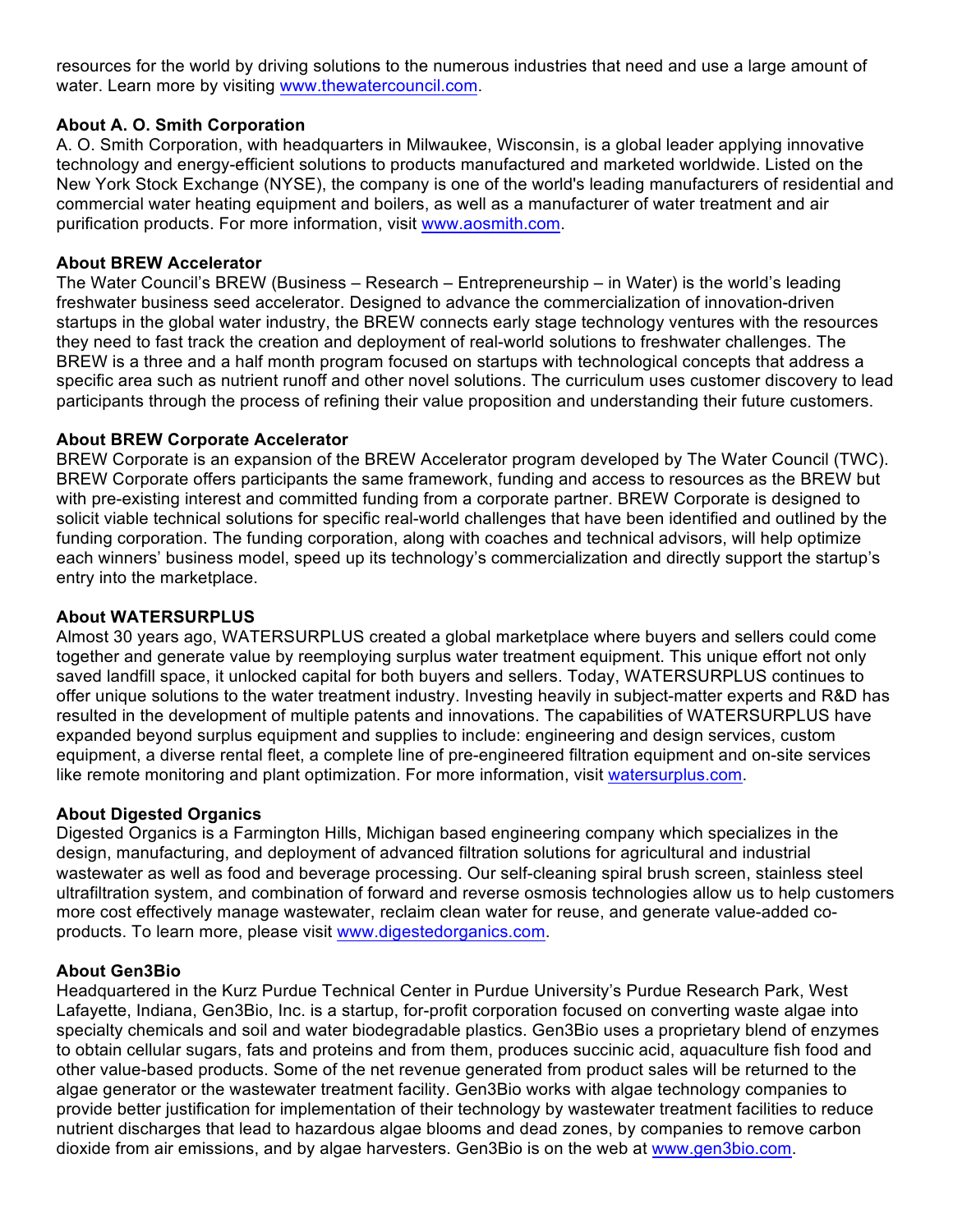resources for the world by driving solutions to the numerous industries that need and use a large amount of water. Learn more by visiting www.thewatercouncil.com.

## **About A. O. Smith Corporation**

A. O. Smith Corporation, with headquarters in Milwaukee, Wisconsin, is a global leader applying innovative technology and energy-efficient solutions to products manufactured and marketed worldwide. Listed on the New York Stock Exchange (NYSE), the company is one of the world's leading manufacturers of residential and commercial water heating equipment and boilers, as well as a manufacturer of water treatment and air purification products. For more information, visit www.aosmith.com.

## **About BREW Accelerator**

The Water Council's BREW (Business – Research – Entrepreneurship – in Water) is the world's leading freshwater business seed accelerator. Designed to advance the commercialization of innovation-driven startups in the global water industry, the BREW connects early stage technology ventures with the resources they need to fast track the creation and deployment of real-world solutions to freshwater challenges. The BREW is a three and a half month program focused on startups with technological concepts that address a specific area such as nutrient runoff and other novel solutions. The curriculum uses customer discovery to lead participants through the process of refining their value proposition and understanding their future customers.

#### **About BREW Corporate Accelerator**

BREW Corporate is an expansion of the BREW Accelerator program developed by The Water Council (TWC). BREW Corporate offers participants the same framework, funding and access to resources as the BREW but with pre-existing interest and committed funding from a corporate partner. BREW Corporate is designed to solicit viable technical solutions for specific real-world challenges that have been identified and outlined by the funding corporation. The funding corporation, along with coaches and technical advisors, will help optimize each winners' business model, speed up its technology's commercialization and directly support the startup's entry into the marketplace.

#### **About WATERSURPLUS**

Almost 30 years ago, WATERSURPLUS created a global marketplace where buyers and sellers could come together and generate value by reemploying surplus water treatment equipment. This unique effort not only saved landfill space, it unlocked capital for both buyers and sellers. Today, WATERSURPLUS continues to offer unique solutions to the water treatment industry. Investing heavily in subject-matter experts and R&D has resulted in the development of multiple patents and innovations. The capabilities of WATERSURPLUS have expanded beyond surplus equipment and supplies to include: engineering and design services, custom equipment, a diverse rental fleet, a complete line of pre-engineered filtration equipment and on-site services like remote monitoring and plant optimization. For more information, visit watersurplus.com.

#### **About Digested Organics**

Digested Organics is a Farmington Hills, Michigan based engineering company which specializes in the design, manufacturing, and deployment of advanced filtration solutions for agricultural and industrial wastewater as well as food and beverage processing. Our self-cleaning spiral brush screen, stainless steel ultrafiltration system, and combination of forward and reverse osmosis technologies allow us to help customers more cost effectively manage wastewater, reclaim clean water for reuse, and generate value-added coproducts. To learn more, please visit www.digestedorganics.com.

#### **About Gen3Bio**

Headquartered in the Kurz Purdue Technical Center in Purdue University's Purdue Research Park, West Lafayette, Indiana, Gen3Bio, Inc. is a startup, for-profit corporation focused on converting waste algae into specialty chemicals and soil and water biodegradable plastics. Gen3Bio uses a proprietary blend of enzymes to obtain cellular sugars, fats and proteins and from them, produces succinic acid, aquaculture fish food and other value-based products. Some of the net revenue generated from product sales will be returned to the algae generator or the wastewater treatment facility. Gen3Bio works with algae technology companies to provide better justification for implementation of their technology by wastewater treatment facilities to reduce nutrient discharges that lead to hazardous algae blooms and dead zones, by companies to remove carbon dioxide from air emissions, and by algae harvesters. Gen3Bio is on the web at www.gen3bio.com.